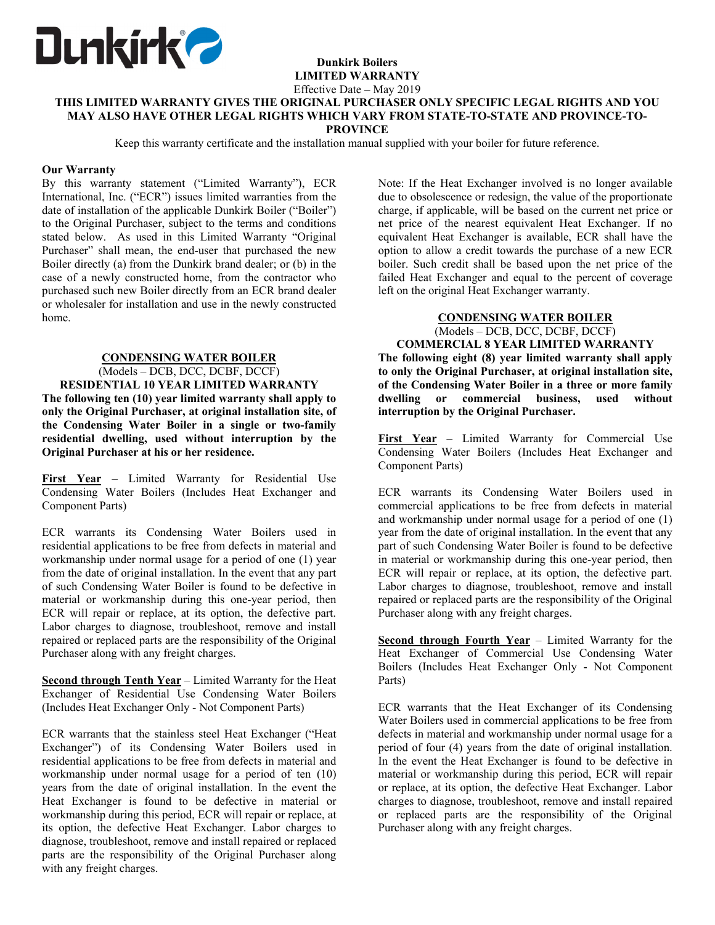

# **Dunkirk Boilers LIMITED WARRANTY**

Effective Date – May 2019

### **THIS LIMITED WARRANTY GIVES THE ORIGINAL PURCHASER ONLY SPECIFIC LEGAL RIGHTS AND YOU MAY ALSO HAVE OTHER LEGAL RIGHTS WHICH VARY FROM STATE-TO-STATE AND PROVINCE-TO-PROVINCE**

Keep this warranty certificate and the installation manual supplied with your boiler for future reference.

## **Our Warranty**

By this warranty statement ("Limited Warranty"), ECR International, Inc. ("ECR") issues limited warranties from the date of installation of the applicable Dunkirk Boiler ("Boiler") to the Original Purchaser, subject to the terms and conditions stated below. As used in this Limited Warranty "Original Purchaser" shall mean, the end-user that purchased the new Boiler directly (a) from the Dunkirk brand dealer; or (b) in the case of a newly constructed home, from the contractor who purchased such new Boiler directly from an ECR brand dealer or wholesaler for installation and use in the newly constructed home.

## **CONDENSING WATER BOILER**

(Models – DCB, DCC, DCBF, DCCF) **RESIDENTIAL 10 YEAR LIMITED WARRANTY The following ten (10) year limited warranty shall apply to only the Original Purchaser, at original installation site, of the Condensing Water Boiler in a single or two-family residential dwelling, used without interruption by the Original Purchaser at his or her residence.** 

**First Year** – Limited Warranty for Residential Use Condensing Water Boilers (Includes Heat Exchanger and Component Parts)

ECR warrants its Condensing Water Boilers used in residential applications to be free from defects in material and workmanship under normal usage for a period of one (1) year from the date of original installation. In the event that any part of such Condensing Water Boiler is found to be defective in material or workmanship during this one-year period, then ECR will repair or replace, at its option, the defective part. Labor charges to diagnose, troubleshoot, remove and install repaired or replaced parts are the responsibility of the Original Purchaser along with any freight charges.

**Second through Tenth Year** – Limited Warranty for the Heat Exchanger of Residential Use Condensing Water Boilers (Includes Heat Exchanger Only - Not Component Parts)

ECR warrants that the stainless steel Heat Exchanger ("Heat Exchanger") of its Condensing Water Boilers used in residential applications to be free from defects in material and workmanship under normal usage for a period of ten (10) years from the date of original installation. In the event the Heat Exchanger is found to be defective in material or workmanship during this period, ECR will repair or replace, at its option, the defective Heat Exchanger. Labor charges to diagnose, troubleshoot, remove and install repaired or replaced parts are the responsibility of the Original Purchaser along with any freight charges.

Note: If the Heat Exchanger involved is no longer available due to obsolescence or redesign, the value of the proportionate charge, if applicable, will be based on the current net price or net price of the nearest equivalent Heat Exchanger. If no equivalent Heat Exchanger is available, ECR shall have the option to allow a credit towards the purchase of a new ECR boiler. Such credit shall be based upon the net price of the failed Heat Exchanger and equal to the percent of coverage left on the original Heat Exchanger warranty.

# **CONDENSING WATER BOILER**  (Models – DCB, DCC, DCBF, DCCF)

**COMMERCIAL 8 YEAR LIMITED WARRANTY The following eight (8) year limited warranty shall apply to only the Original Purchaser, at original installation site, of the Condensing Water Boiler in a three or more family dwelling or commercial business, used without interruption by the Original Purchaser.** 

First Year - Limited Warranty for Commercial Use Condensing Water Boilers (Includes Heat Exchanger and Component Parts)

ECR warrants its Condensing Water Boilers used in commercial applications to be free from defects in material and workmanship under normal usage for a period of one (1) year from the date of original installation. In the event that any part of such Condensing Water Boiler is found to be defective in material or workmanship during this one-year period, then ECR will repair or replace, at its option, the defective part. Labor charges to diagnose, troubleshoot, remove and install repaired or replaced parts are the responsibility of the Original Purchaser along with any freight charges.

**<u>Second through Fourth Year</u>** – Limited Warranty for the Heat Exchanger of Commercial Use Condensing Water Boilers (Includes Heat Exchanger Only - Not Component Parts)

ECR warrants that the Heat Exchanger of its Condensing Water Boilers used in commercial applications to be free from defects in material and workmanship under normal usage for a period of four (4) years from the date of original installation. In the event the Heat Exchanger is found to be defective in material or workmanship during this period, ECR will repair or replace, at its option, the defective Heat Exchanger. Labor charges to diagnose, troubleshoot, remove and install repaired or replaced parts are the responsibility of the Original Purchaser along with any freight charges.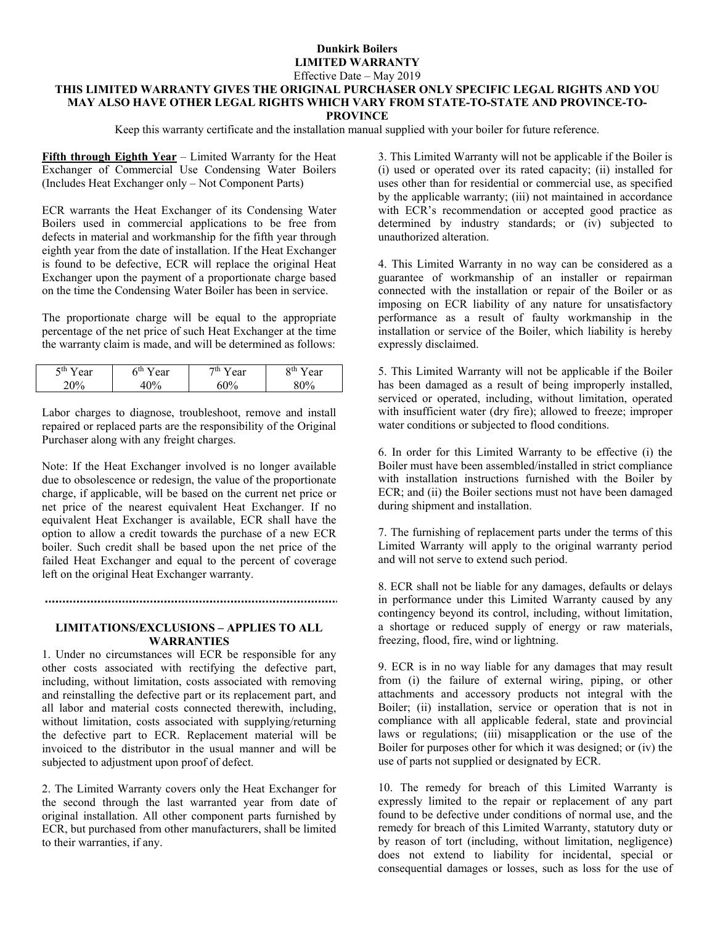## **Dunkirk Boilers LIMITED WARRANTY**  Effective Date – May 2019

## **THIS LIMITED WARRANTY GIVES THE ORIGINAL PURCHASER ONLY SPECIFIC LEGAL RIGHTS AND YOU MAY ALSO HAVE OTHER LEGAL RIGHTS WHICH VARY FROM STATE-TO-STATE AND PROVINCE-TO-PROVINCE**

Keep this warranty certificate and the installation manual supplied with your boiler for future reference.

**Fifth through Eighth Year** – Limited Warranty for the Heat Exchanger of Commercial Use Condensing Water Boilers (Includes Heat Exchanger only – Not Component Parts)

ECR warrants the Heat Exchanger of its Condensing Water Boilers used in commercial applications to be free from defects in material and workmanship for the fifth year through eighth year from the date of installation. If the Heat Exchanger is found to be defective, ECR will replace the original Heat Exchanger upon the payment of a proportionate charge based on the time the Condensing Water Boiler has been in service.

The proportionate charge will be equal to the appropriate percentage of the net price of such Heat Exchanger at the time the warranty claim is made, and will be determined as follows:

| $5$ th<br>ear<br>ັ | 4m<br>ear | ш<br>ear | ear<br>ັບເມ |
|--------------------|-----------|----------|-------------|
|                    |           | W.       |             |

Labor charges to diagnose, troubleshoot, remove and install repaired or replaced parts are the responsibility of the Original Purchaser along with any freight charges.

Note: If the Heat Exchanger involved is no longer available due to obsolescence or redesign, the value of the proportionate charge, if applicable, will be based on the current net price or net price of the nearest equivalent Heat Exchanger. If no equivalent Heat Exchanger is available, ECR shall have the option to allow a credit towards the purchase of a new ECR boiler. Such credit shall be based upon the net price of the failed Heat Exchanger and equal to the percent of coverage left on the original Heat Exchanger warranty.

#### 

### **LIMITATIONS/EXCLUSIONS – APPLIES TO ALL WARRANTIES**

1. Under no circumstances will ECR be responsible for any other costs associated with rectifying the defective part, including, without limitation, costs associated with removing and reinstalling the defective part or its replacement part, and all labor and material costs connected therewith, including, without limitation, costs associated with supplying/returning the defective part to ECR. Replacement material will be invoiced to the distributor in the usual manner and will be subjected to adjustment upon proof of defect.

2. The Limited Warranty covers only the Heat Exchanger for the second through the last warranted year from date of original installation. All other component parts furnished by ECR, but purchased from other manufacturers, shall be limited to their warranties, if any.

3. This Limited Warranty will not be applicable if the Boiler is (i) used or operated over its rated capacity; (ii) installed for uses other than for residential or commercial use, as specified by the applicable warranty; (iii) not maintained in accordance with ECR's recommendation or accepted good practice as determined by industry standards; or (iv) subjected to unauthorized alteration.

4. This Limited Warranty in no way can be considered as a guarantee of workmanship of an installer or repairman connected with the installation or repair of the Boiler or as imposing on ECR liability of any nature for unsatisfactory performance as a result of faulty workmanship in the installation or service of the Boiler, which liability is hereby expressly disclaimed.

5. This Limited Warranty will not be applicable if the Boiler has been damaged as a result of being improperly installed, serviced or operated, including, without limitation, operated with insufficient water (dry fire); allowed to freeze; improper water conditions or subjected to flood conditions.

6. In order for this Limited Warranty to be effective (i) the Boiler must have been assembled/installed in strict compliance with installation instructions furnished with the Boiler by ECR; and (ii) the Boiler sections must not have been damaged during shipment and installation.

7. The furnishing of replacement parts under the terms of this Limited Warranty will apply to the original warranty period and will not serve to extend such period.

8. ECR shall not be liable for any damages, defaults or delays in performance under this Limited Warranty caused by any contingency beyond its control, including, without limitation, a shortage or reduced supply of energy or raw materials, freezing, flood, fire, wind or lightning.

9. ECR is in no way liable for any damages that may result from (i) the failure of external wiring, piping, or other attachments and accessory products not integral with the Boiler; (ii) installation, service or operation that is not in compliance with all applicable federal, state and provincial laws or regulations; (iii) misapplication or the use of the Boiler for purposes other for which it was designed; or (iv) the use of parts not supplied or designated by ECR.

10. The remedy for breach of this Limited Warranty is expressly limited to the repair or replacement of any part found to be defective under conditions of normal use, and the remedy for breach of this Limited Warranty, statutory duty or by reason of tort (including, without limitation, negligence) does not extend to liability for incidental, special or consequential damages or losses, such as loss for the use of